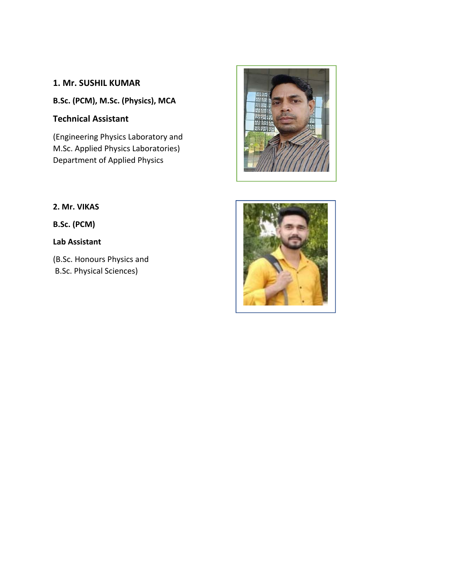### **1. Mr. SUSHIL KUMAR**

**B.Sc. (PCM), M.Sc. (Physics), MCA**

# **Technical Assistant**

(Engineering Physics Laboratory and M.Sc. Applied Physics Laboratories) Department of Applied Physics



**2. Mr. VIKAS**

**B.Sc. (PCM)**

# **Lab Assistant**

(B.Sc. Honours Physics and B.Sc. Physical Sciences)